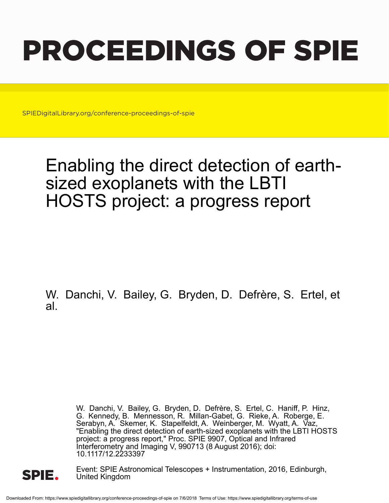# PROCEEDINGS OF SPIE

SPIEDigitalLibrary.org/conference-proceedings-of-spie

## Enabling the direct detection of earthsized exoplanets with the LBTI HOSTS project: a progress report

W. Danchi, V. Bailey, G. Bryden, D. Defrère, S. Ertel, et al.

> W. Danchi, V. Bailey, G. Bryden, D. Defrère, S. Ertel, C. Haniff, P. Hinz, G. Kennedy, B. Mennesson, R. Millan-Gabet, G. Rieke, A. Roberge, E. Serabyn, A. Skemer, K. Stapelfeldt, A. Weinberger, M. Wyatt, A. Vaz, "Enabling the direct detection of earth-sized exoplanets with the LBTI HOSTS project: a progress report," Proc. SPIE 9907, Optical and Infrared Interferometry and Imaging V, 990713 (8 August 2016); doi: 10.1117/12.2233397



Event: SPIE Astronomical Telescopes + Instrumentation, 2016, Edinburgh, United Kingdom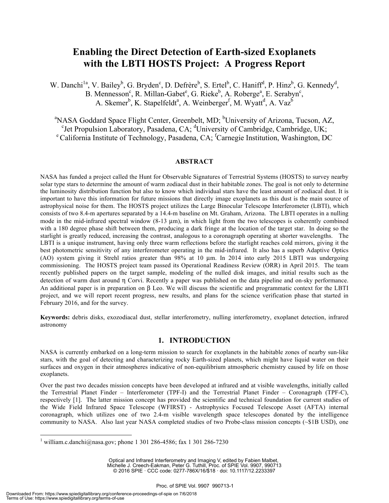### **Enabling the Direct Detection of Earth-sized Exoplanets with the LBTI HOSTS Project: A Progress Report**

W. Danchi<sup>1a</sup>, V. Bailey<sup>b</sup>, G. Bryden<sup>c</sup>, D. Defrère<sup>b</sup>, S. Ertel<sup>b</sup>, C. Haniff<sup>d</sup>, P. Hinz<sup>b</sup>, G. Kennedy<sup>d</sup>, B. Mennesson<sup>c</sup>, R. Millan-Gabet<sup>e</sup>, G. Rieke<sup>b</sup>, A. Roberge<sup>a</sup>, E. Serabyn<sup>c</sup>, A. Skemer<sup>b</sup>, K. Stapelfeldt<sup>a</sup>, A. Weinberger<sup>f</sup>, M. Wyatt<sup>d</sup>, A. Vaz<sup>b</sup>

<sup>a</sup>NASA Goddard Space Flight Center, Greenbelt, MD; <sup>b</sup>University of Arizona, Tucson, AZ, <sup>c</sup>Jet Propulsion Laboratory, Pasadena, CA; <sup>d</sup>University of Cambridge, Cambridge, UK; <sup>e</sup> Jet Propulsion Laboratory, Pasadena, CA; <sup>d</sup>University of Cambridge, Cambridge, UK;<br><sup>e</sup> California Institute of Technology, Pasadena, CA; <sup>f</sup>Carnegie Institution, Washington, DC

#### **ABSTRACT**

NASA has funded a project called the Hunt for Observable Signatures of Terrestrial Systems (HOSTS) to survey nearby solar type stars to determine the amount of warm zodiacal dust in their habitable zones. The goal is not only to determine the luminosity distribution function but also to know which individual stars have the least amount of zodiacal dust. It is important to have this information for future missions that directly image exoplanets as this dust is the main source of astrophysical noise for them. The HOSTS project utilizes the Large Binocular Telescope Interferometer (LBTI), which consists of two 8.4-m apertures separated by a 14.4-m baseline on Mt. Graham, Arizona. The LBTI operates in a nulling mode in the mid-infrared spectral window (8-13 µm), in which light from the two telescopes is coherently combined with a 180 degree phase shift between them, producing a dark fringe at the location of the target star. In doing so the starlight is greatly reduced, increasing the contrast, analogous to a coronagraph operating at shorter wavelengths. The LBTI is a unique instrument, having only three warm reflections before the starlight reaches cold mirrors, giving it the best photometric sensitivity of any interferometer operating in the mid-infrared. It also has a superb Adaptive Optics (AO) system giving it Strehl ratios greater than 98% at 10 µm. In 2014 into early 2015 LBTI was undergoing commissioning. The HOSTS project team passed its Operational Readiness Review (ORR) in April 2015. The team recently published papers on the target sample, modeling of the nulled disk images, and initial results such as the detection of warm dust around η Corvi. Recently a paper was published on the data pipeline and on-sky performance. An additional paper is in preparation on β Leo. We will discuss the scientific and programmatic context for the LBTI project, and we will report recent progress, new results, and plans for the science verification phase that started in February 2016, and for the survey.

**Keywords:** debris disks, exozodiacal dust, stellar interferometry, nulling interferometry, exoplanet detection, infrared astronomy

#### **1. INTRODUCTION**

NASA is currently embarked on a long-term mission to search for exoplanets in the habitable zones of nearby sun-like stars, with the goal of detecting and characterizing rocky Earth-sized planets, which might have liquid water on their surfaces and oxygen in their atmospheres indicative of non-equilibrium atmospheric chemistry caused by life on those exoplanets.

Over the past two decades mission concepts have been developed at infrared and at visible wavelengths, initially called the Terrestrial Planet Finder – Interferometer (TPF-I) and the Terrestrial Planet Finder – Coronagraph (TPF-C), respectively [1]. The latter mission concept has provided the scientific and technical foundation for current studies of the Wide Field Infrared Space Telescope (WFIRST) - Astrophysics Focused Telescope Asset (AFTA) internal coronagraph, which utilizes one of two 2.4-m visible wavelength space telescopes donated by the intelligence community to NASA. Also last year NASA completed studies of two Probe-class mission concepts (~\$1B USD), one

Optical and Infrared Interferometry and Imaging V, edited by Fabien Malbet, Michelle J. Creech-Eakman, Peter G. Tuthill, Proc. of SPIE Vol. 9907, 990713 © 2016 SPIE · CCC code: 0277-786X/16/\$18 · doi: 10.1117/12.2233397

<sup>&</sup>lt;sup>1</sup> william.c.danchi@nasa.gov; phone 1 301 286-4586; fax 1 301 286-7230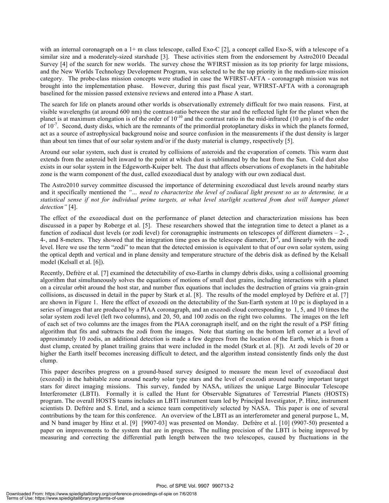with an internal coronagraph on a 1+ m class telescope, called Exo-C [2], a concept called Exo-S, with a telescope of a similar size and a moderately-sized starshade [3]. These activities stem from the endorsement by Astro2010 Decadal Survey [4] of the search for new worlds. The survey chose the WFIRST mission as its top priority for large missions, and the New Worlds Technology Development Program, was selected to be the top priority in the medium-size mission category. The probe-class mission concepts were studied in case the WFIRST-AFTA - coronagraph mission was not brought into the implementation phase. However, during this past fiscal year, WFIRST-AFTA with a coronagraph baselined for the mission passed extensive reviews and entered into a Phase A start.

The search for life on planets around other worlds is observationally extremely difficult for two main reasons. First, at visible wavelengths (at around 600 nm) the contrast-ratio between the star and the reflected light for the planet when the planet is at maximum elongation is of the order of  $10^{-10}$  and the contrast ratio in the mid-infrared (10  $\mu$ m) is of the order of  $10^{-7}$ . Second, dusty disks, which are the remnants of the primordial protoplanetary disks in which the planets formed, act as a source of astrophysical background noise and source confusion in the measurements if the dust density is larger than about ten times that of our solar system and/or if the dusty material is clumpy, respectively [5].

Around our solar system, such dust is created by collisions of asteroids and the evaporation of comets. This warm dust extends from the asteroid belt inward to the point at which dust is sublimated by the heat from the Sun. Cold dust also exists in our solar system in the Edgeworth-Kuiper belt. The dust that affects observations of exoplanets in the habitable zone is the warm component of the dust, called exozodiacal dust by analogy with our own zodiacal dust.

The Astro2010 survey committee discussed the importance of determining exozodiacal dust levels around nearby stars and it specifically mentioned the *"… need to characterize the level of zodiacal light present so as to determine, in a statistical sense if not for individual prime targets, at what level starlight scattered from dust will hamper planet detection"* [4].

The effect of the exozodiacal dust on the performance of planet detection and characterization missions has been discussed in a paper by Roberge et al. [5]. These researchers showed that the integration time to detect a planet as a function of zodiacal dust levels (or zodi level) for coronagraphic instruments on telescopes of different diameters  $-2$ , 4-, and 8-meters. They showed that the integration time goes as the telescope diameter,  $D<sup>4</sup>$ , and linearly with the zodi level. Here we use the term "zodi" to mean that the detected emission is equivalent to that of our own solar system, using the optical depth and vertical and in plane density and temperature structure of the debris disk as defined by the Kelsall model (Kelsall et al. [6]).

Recently, Defrère et al. [7] examined the detectability of exo-Earths in clumpy debris disks, using a collisional grooming algorithm that simultaneously solves the equations of motions of small dust grains, including interactions with a planet on a circular orbit around the host star, and number flux equations that includes the destruction of grains via grain-grain collisions, as discussed in detail in the paper by Stark et al. [8]. The results of the model employed by Defrère et al. [7] are shown in Figure 1. Here the effect of exozodi on the detectability of the Sun-Earth system at 10 pc is displayed in a series of images that are produced by a PIAA coronagraph, and an exozodi cloud corresponding to 1, 5, and 10 times the solar system zodi level (left two columns), and 20, 50, and 100 zodis on the right two columns. The images on the left of each set of two columns are the images from the PIAA coronagraph itself, and on the right the result of a PSF fitting algorithm that fits and subtracts the zodi from the images. Note that starting on the bottom left corner at a level of approximately 10 zodis, an additional detection is made a few degrees from the location of the Earth, which is from a dust clump, created by planet trailing grains that were included in the model (Stark et al. [8]). At zodi levels of 20 or higher the Earth itself becomes increasing difficult to detect, and the algorithm instead consistently finds only the dust clump.

This paper describes progress on a ground-based survey designed to measure the mean level of exozodiacal dust (exozodi) in the habitable zone around nearby solar type stars and the level of exozodi around nearby important target stars for direct imaging missions. This survey, funded by NASA, utilizes the unique Large Binocular Telescope Interferometer (LBTI). Formally it is called the Hunt for Observable Signatures of Terrestrial Planets (HOSTS) program. The overall HOSTS teams includes an LBTI instrument team led by Principal Investigator, P. Hinz, instrument scientists D. Defrère and S. Ertel, and a science team competitively selected by NASA. This paper is one of several contributions by the team for this conference. An overview of the LBTI as an interferometer and general purpose L, M, and N band imager by Hinz et al. [9] [9907-03] was presented on Monday. Defrère et al. [10] (9907-50) presented a paper on improvements to the system that are in progress. The nulling precision of the LBTI is being improved by measuring and correcting the differential path length between the two telescopes, caused by fluctuations in the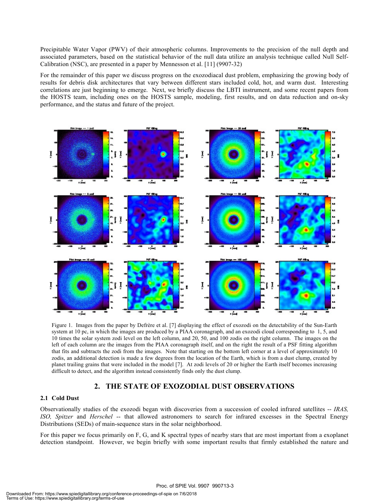Precipitable Water Vapor (PWV) of their atmospheric columns. Improvements to the precision of the null depth and associated parameters, based on the statistical behavior of the null data utilize an analysis technique called Null Self-Calibration (NSC), are presented in a paper by Mennesson et al. [11] (9907-32)

For the remainder of this paper we discuss progress on the exozodiacal dust problem, emphasizing the growing body of results for debris disk architectures that vary between different stars included cold, hot, and warm dust. Interesting correlations are just beginning to emerge. Next, we briefly discuss the LBTI instrument, and some recent papers from the HOSTS team, including ones on the HOSTS sample, modeling, first results, and on data reduction and on-sky performance, and the status and future of the project.



system at 10 pc, in which the images are produced by a PIAA coronagraph, and an exozodi cloud corresponding to 1, 5, and 10 times the solar system zodi level on the left column, and 20, 50, and 100 zodis on the right column. The images on the left of each column are the images from the PIAA coronagraph itself, and on the right the result of a PSF fitting algorithm that fits and subtracts the zodi from the images. Note that starting on the bottom left corner at a level of approximately 10 zodis, an additional detection is made a few degrees from the location of the Earth, which is from a dust clump, created by planet trailing grains that were included in the model [7]. At zodi levels of 20 or higher the Earth itself becomes increasing difficult to detect, and the algorithm instead consistently finds only the dust clump.

#### **2. THE STATE OF EXOZODIAL DUST OBSERVATIONS**

#### **2.1 Cold Dust**

ISO, Spitzer and *Herschel* -- that allowed astronomers to search for infrared excesses in the Spectral Energy Observationally studies of the exozodi began with discoveries from a succession of cooled infrared satellites -- *IRAS,*  Distributions (SEDs) of main-sequence stars in the solar neighborhood.

For this paper we focus primarily on F, G, and K spectral types of nearby stars that are most important from a exoplanet detection standpoint. However, we begin briefly with some important results that firmly established the nature and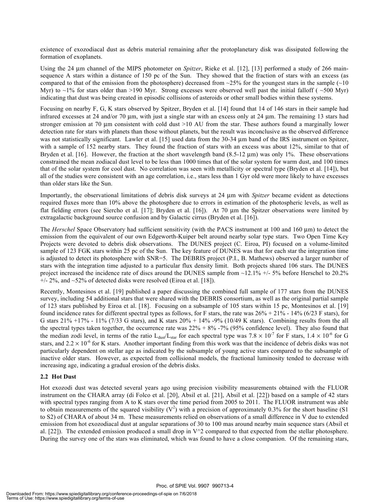existence of exozodiacal dust as debris material remaining after the protoplanetary disk was dissipated following the formation of exoplanets.

Using the 24 µm channel of the MIPS photometer on *Spitzer*, Rieke et al. [12], [13] performed a study of 266 mainsequence A stars within a distance of 150 pc of the Sun. They showed that the fraction of stars with an excess (as compared to that of the emission from the photosphere) decreased from  $\sim$ 25% for the youngest stars in the sample (~10 Myr) to  $\sim$ 1% for stars older than >190 Myr. Strong excesses were observed well past the initial falloff ( $\sim$ 500 Myr) indicating that dust was being created in episodic collisions of asteroids or other small bodies within these systems.

Focusing on nearby F, G, K stars observed by Spitzer, Bryden et al. [14] found that 14 of 146 stars in their sample had infrared excesses at 24 and/or 70 µm, with just a single star with an excess only at 24 µm. The remaining 13 stars had stronger emission at 70 µm consistent with cold dust >10 AU from the star. These authors found a marginally lower detection rate for stars with planets than those without planets, but the result was inconclusive as the observed difference was not statistically significant. Lawler et al. [15] used data from the 30-34  $\mu$ m band of the IRS instrument on Spitzer, with a sample of 152 nearby stars. They found the fraction of stars with an excess was about 12%, similar to that of Bryden et al. [16]. However, the fraction at the short wavelength band (8.5-12  $\mu$ m) was only 1%. These observations constrained the mean zodiacal dust level to be less than 1000 times that of the solar system for warm dust, and 100 times that of the solar system for cool dust. No correlation was seen with metallicity or spectral type (Bryden et al. [14]), but all of the studies were consistent with an age correlation, i.e., stars less than 1 Gyr old were more likely to have excesses than older stars like the Sun.

Importantly, the observational limitations of debris disk surveys at 24 µm with *Spitzer* became evident as detections required fluxes more than 10% above the photosphere due to errors in estimation of the photospheric levels, as well as flat fielding errors (see Siercho et al. [17]; Bryden et al. [16]). At 70 µm the Spitzer observations were limited by extragalactic background source confusion and by Galactic cirrus (Bryden et al. [16]).

The *Herschel* Space Observatory had sufficient sensitivity (with the PACS instrument at 100 and 160 µm) to detect the emission from the equivalent of our own Edgeworth-Kuiper belt around nearby solar type stars. Two Open Time Key Projects were devoted to debris disk observations. The DUNES project (C. Eiroa, PI) focused on a volume-limited sample of 123 FGK stars within 25 pc of the Sun. The key feature of DUNES was that for each star the integration time is adjusted to detect its photosphere with SNR=5. The DEBRIS project (P.I., B. Mathews) observed a larger number of stars with the integration time adjusted to a particular flux density limit. Both projects shared 106 stars. The DUNES project increased the incidence rate of discs around the DUNES sample from ~12.1% +/- 5% before Herschel to 20.2%  $+/- 2\%$ , and  $\sim$ 52% of detected disks were resolved (Eiroa et al. [18]).

Recently, Montesinos et al. [19] published a paper discussing the combined full sample of 177 stars from the DUNES survey, including 54 additional stars that were shared with the DEBRIS consortium, as well as the original partial sample of 123 stars published by Eiroa et al. [18]. Focusing on a subsample of 105 stars within 15 pc, Montesinos et al. [19] found incidence rates for different spectral types as follows, for F stars, the rate was  $26\% + 21\% - 14\%$  (6/23 F stars), for G stars 21% +17% - 11% (7/33 G stars), and K stars  $20% + 14%$  -9% (10/49 K stars). Combining results from the all the spectral types taken together, the occurrence rate was 22% + 8% -7% (95% confidence level). They also found that the median zodi level, in terms of the ratio  $L_{dust}/L_{star}$  for each spectral type was 7.8  $\times$  10<sup>-7</sup> for F stars, 1.4  $\times$  10<sup>-6</sup> for G stars, and  $2.2 \times 10^{-6}$  for K stars. Another important finding from this work was that the incidence of debris disks was not particularly dependent on stellar age as indicated by the subsample of young active stars compared to the subsample of inactive older stars. However, as expected from collisional models, the fractional luminosity tended to decrease with increasing age, indicating a gradual erosion of the debris disks.

#### **2.2 Hot Dust**

Hot exozodi dust was detected several years ago using precision visibility measurements obtained with the FLUOR instrument on the CHARA array (di Folco et al. [20], Absil et al. [21], Absil et al. [22]) based on a sample of 42 stars with spectral types ranging from A to K stars over the time period from 2005 to 2011. The FLUOR instrument was able to obtain measurements of the squared visibility  $(V^2)$  with a precision of approximately 0.3% for the short baseline (S1 to S2) of CHARA of about 34 m. These measurements relied on observations of a small difference in V due to extended emission from hot exozodiacal dust at angular separations of 30 to 100 mas around nearby main sequence stars (Absil et al. [22]). The extended emission produced a small drop in  $V^2$  compared to that expected from the stellar photosphere. During the survey one of the stars was eliminated, which was found to have a close companion. Of the remaining stars,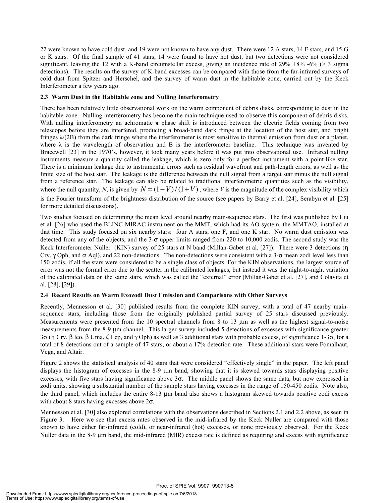22 were known to have cold dust, and 19 were not known to have any dust. There were 12 A stars, 14 F stars, and 15 G or K stars. Of the final sample of 41 stars, 14 were found to have hot dust, but two detections were not considered significant, leaving the 12 with a K-band circumstellar excess, giving an incidence rate of  $29\% +8\% -6\%$  (> 3 sigma detections). The results on the survey of K-band excesses can be compared with those from the far-infrared surveys of cold dust from Spitzer and Herschel, and the survey of warm dust in the habitable zone, carried out by the Keck Interferometer a few years ago.

#### **2.3 Warm Dust in the Habitable zone and Nulling Interferometry**

There has been relatively little observational work on the warm component of debris disks, corresponding to dust in the habitable zone. Nulling interferometry has become the main technique used to observe this component of debris disks. With nulling interferometry an achromatic  $\pi$  phase shift is introduced between the electric fields coming from two telescopes before they are interfered, producing a broad-band dark fringe at the location of the host star, and bright fringes  $\lambda$ (2B) from the dark fringe where the interferometer is most sensitive to thermal emission from dust or a planet, where  $\lambda$  is the wavelength of observation and B is the interferometer baseline. This technique was invented by Bracewell [23] in the 1970's, however, it took many years before it was put into observational use. Infrared nulling instruments measure a quantity called the leakage, which is zero only for a perfect instrument with a point-like star. There is a minimum leakage due to instrumental errors such as residual wavefront and path-length errors, as well as the finite size of the host star. The leakage is the difference between the null signal from a target star minus the null signal from a reference star. The leakage can also be related to traditional interferometric quantities such as the visibility, where the null quantity, N, is given by  $N = (1 - V)/(1 + V)$ , where V is the magnitude of the complex visibility which is the Fourier transform of the brightness distribution of the source (see papers by Barry et al. [24], Serabyn et al. [25] for more detailed discussions).

Two studies focused on determining the mean level around nearby main-sequence stars. The first was published by Liu et al. [26] who used the BLINC-MIRAC instrument on the MMT, which had its AO system, the MMTAO, installed at that time. This study focused on six nearby stars: four A stars, one F, and one K star. No warm dust emission was detected from any of the objects, and the 3-σ upper limits ranged from 220 to 10,000 zodis. The second study was the Keck Interferometer Nuller (KIN) survey of 25 stars at N band (Millan-Gabet et al. [27]). There were 3 detections (η Crv,  $\gamma$  Oph, and  $\alpha$  Aql), and 22 non-detections. The non-detections were consistent with a 3- $\sigma$  mean zodi level less than 150 zodis, if all the stars were considered to be a single class of objects. For the KIN observations, the largest source of error was not the formal error due to the scatter in the calibrated leakages, but instead it was the night-to-night variation of the calibrated data on the same stars, which was called the "external" error (Millan-Gabet et al. [27], and Colavita et al. [28], [29]).

#### **2.4 Recent Results on Warm Exozodi Dust Emission and Comparisons with Other Surveys**

Recently, Mennesson et al. [30] published results from the complete KIN survey, with a total of 47 nearby mainsequence stars, including those from the originally published partial survey of 25 stars discussed previously. Measurements were presented from the 10 spectral channels from 8 to 13  $\mu$ m as well as the highest signal-to-noise measurements from the 8-9 µm channel. This larger survey included 5 detections of excesses with significance greater 3σ (η Crv, β leo, β Uma, ζ Lep, and γ Oph) as well as 3 additional stars with probable excess, of significance 1-3σ, for a total of 8 detections out of a sample of 47 stars, or about a 17% detection rate. These additional stars were Fomalhaut, Vega, and Altair.

Figure 2 shows the statistical analysis of 40 stars that were considered "effectively single" in the paper. The left panel displays the histogram of excesses in the 8-9 µm band, showing that it is skewed towards stars displaying positive excesses, with five stars having significance above  $3\sigma$ . The middle panel shows the same data, but now expressed in zodi units, showing a substantial number of the sample stars having excesses in the range of 150-450 zodis. Note also, the third panel, which includes the entire 8-13 µm band also shows a histogram skewed towards positive zodi excess with about 8 stars having excesses above  $2\sigma$ .

Mennesson et al. [30] also explored correlations with the observations described in Sections 2.1 and 2.2 above, as seen in Figure 3. Here we see that excess rates observed in the mid-infrared by the Keck Nuller are compared with those known to have either far-infrared (cold), or near-infrared (hot) excesses, or none previously observed. For the Keck Nuller data in the 8-9 µm band, the mid-infrared (MIR) excess rate is defined as requiring and excess with significance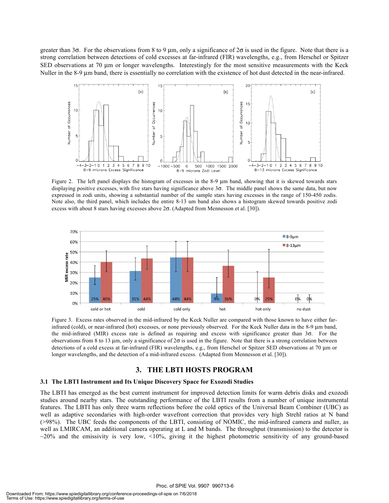greater than 3 $\sigma$ . For the observations from 8 to 9 µm, only a significance of 2 $\sigma$  is used in the figure. Note that there is a strong correlation between detections of cold excesses at far-infrared (FIR) wavelengths, e.g., from Herschel or Spitzer SED observations at 70 µm or longer wavelengths. Interestingly for the most sensitive measurements with the Keck Nuller in the 8-9 µm band, there is essentially no correlation with the existence of hot dust detected in the near-infrared.



Figure 2. The left panel displays the histogram of excesses in the 8-9 µm band, showing that it is skewed towards stars displaying positive excesses, with five stars having significance above 3σ. The middle panel shows the same data, but now expressed in zodi units, showing a substantial number of the sample stars having excesses in the range of 150-450 zodis. Note also, the third panel, which includes the entire 8-13 um band also shows a histogram skewed towards positive zodi excess with about 8 stars having excesses above  $2\sigma$ . (Adapted from Mennesson et al. [30]).



Figure 3. Excess rates observed in the mid-infrared by the Keck Nuller are compared with those known to have either farinfrared (cold), or near-infrared (hot) excesses, or none previously observed. For the Keck Nuller data in the 8-9 µm band, the mid-infrared (MIR) excess rate is defined as requiring and excess with significance greater than  $3\sigma$ . For the observations from 8 to 13  $\mu$ m, only a significance of 2 $\sigma$  is used in the figure. Note that there is a strong correlation between detections of a cold excess at far-infrared (FIR) wavelengths, e.g., from Herschel or Spitzer SED observations at 70 µm or longer wavelengths, and the detection of a mid-infrared excess. (Adapted from Mennesson et al. [30]).

#### **3. THE LBTI HOSTS PROGRAM**

#### **3.1 The LBTI Instrument and Its Unique Discovery Space for Exozodi Studies**

The LBTI has emerged as the best current instrument for improved detection limits for warm debris disks and exozodi studies around nearby stars. The outstanding performance of the LBTI results from a number of unique instrumental features. The LBTI has only three warm reflections before the cold optics of the Universal Beam Combiner (UBC) as well as adaptive secondaries with high-order wavefront correction that provides very high Strehl ratios at N band (>98%). The UBC feeds the components of the LBTI, consisting of NOMIC, the mid-infrared camera and nuller, as well as LMIRCAM, an additional camera operating at L and M bands. The throughput (transmission) to the detector is  $\sim$ 20% and the emissivity is very low, <10%, giving it the highest photometric sensitivity of any ground-based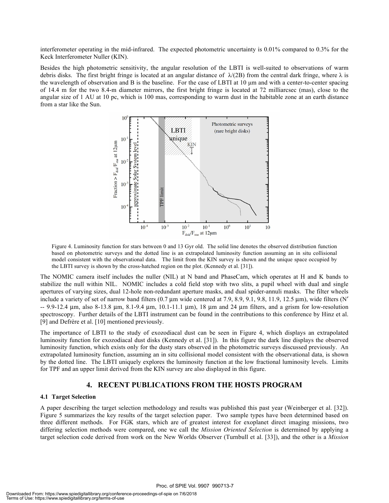interferometer operating in the mid-infrared. The expected photometric uncertainty is 0.01% compared to 0.3% for the Keck Interferometer Nuller (KIN).

Besides the high photometric sensitivity, the angular resolution of the LBTI is well-suited to observations of warm debris disks. The first bright fringe is located at an angular distance of  $\lambda/(2B)$  from the central dark fringe, where  $\lambda$  is the wavelength of observation and B is the baseline. For the case of LBTI at 10 µm and with a center-to-center spacing of 14.4 m for the two 8.4-m diameter mirrors, the first bright fringe is located at 72 milliarcsec (mas), close to the angular size of 1 AU at 10 pc, which is 100 mas, corresponding to warm dust in the habitable zone at an earth distance from a star like the Sun.



Figure 4. Luminosity function for stars between 0 and 13 Gyr old. The solid line denotes the observed distribution function based on photometric surveys and the dotted line is an extrapolated luminosity function assuming an in situ collisional model consistent with the observational data. The limit from the KIN survey is shown and the unique space occupied by the LBTI survey is shown by the cross-hatched region on the plot. (Kennedy et al. [31]).

The NOMIC camera itself includes the nuller (NIL) at N band and PhaseCam, which operates at H and K bands to stabilize the null within NIL. NOMIC includes a cold field stop with two slits, a pupil wheel with dual and single apertures of varying sizes, dual 12-hole non-redundant aperture masks, and dual spider-annuli masks. The filter wheels include a variety of set of narrow band filters  $(0.7 \mu m)$  wide centered at 7.9, 8.9, 9.1, 9.8, 11.9, 12.5  $\mu$ m), wide filters  $(N'$  $-$  9.9-12.4  $\mu$ m, also 8-13.8  $\mu$ m, 8.1-9.4  $\mu$ m, 10.1-11.1  $\mu$ m), 18  $\mu$ m and 24  $\mu$ m filters, and a grism for low-resolution spectroscopy. Further details of the LBTI instrument can be found in the contributions to this conference by Hinz et al. [9] and Defrère et al. [10] mentioned previously.

The importance of LBTI to the study of exozodiacal dust can be seen in Figure 4, which displays an extrapolated luminosity function for exozodiacal dust disks (Kennedy et al. [31]). In this figure the dark line displays the observed luminosity function, which exists only for the dusty stars observed in the photometric surveys discussed previously. An extrapolated luminosity function, assuming an in situ collisional model consistent with the observational data, is shown by the dotted line. The LBTI uniquely explores the luminosity function at the low fractional luminosity levels. Limits for TPF and an upper limit derived from the KIN survey are also displayed in this figure.

#### **4. RECENT PUBLICATIONS FROM THE HOSTS PROGRAM**

#### **4.1 Target Selection**

A paper describing the target selection methodology and results was published this past year (Weinberger et al. [32]). Figure 5 summarizes the key results of the target selection paper. Two sample types have been determined based on three different methods. For FGK stars, which are of greatest interest for exoplanet direct imaging missions, two differing selection methods were compared, one we call the *Mission Oriented Selection* is determined by applying a target selection code derived from work on the New Worlds Observer (Turnbull et al. [33]), and the other is a *Mission*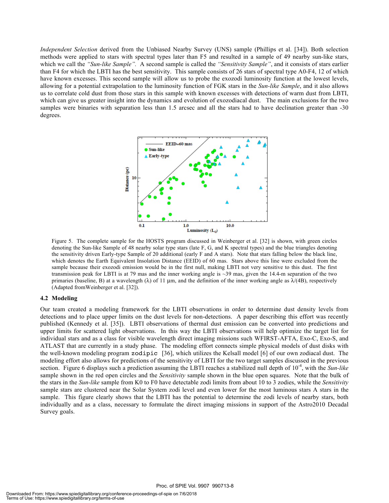*Independent Selection* derived from the Unbiased Nearby Survey (UNS) sample (Phillips et al. [34]). Both selection methods were applied to stars with spectral types later than F5 and resulted in a sample of 49 nearby sun-like stars, which we call the *"Sun-like Sample".* A second sample is called the *"Sensitivity Sample"*, and it consists of stars earlier than F4 for which the LBTI has the best sensitivity. This sample consists of 26 stars of spectral type A0-F4, 12 of which have known excesses. This second sample will allow us to probe the exozodi luminosity function at the lowest levels, allowing for a potential extrapolation to the luminosity function of FGK stars in the *Sun-like Sample*, and it also allows us to correlate cold dust from those stars in this sample with known excesses with detections of warm dust from LBTI, which can give us greater insight into the dynamics and evolution of exozodiacal dust. The main exclusions for the two samples were binaries with separation less than 1.5 arcsec and all the stars had to have declination greater than -30 degrees.



Figure 5. The complete sample for the HOSTS program discussed in Weinberger et al. [32] is shown, with green circles denoting the Sun-like Sample of 48 nearby solar type stars (late F, G, and K spectral types) and the blue triangles denoting the sensitivity driven Early-type Sample of 20 additional (early F and A stars). Note that stars falling below the black line, which denotes the Earth Equivalent Insolation Distance (EEID) of 60 mas. Stars above this line were excluded from the sample because their exozodi emission would be in the first null, making LBTI not very sensitive to this dust. The first transmission peak for LBTI is at 79 mas and the inner working angle is ~39 mas, given the 14.4-m separation of the two primaries (baseline, B) at a wavelength ( $\lambda$ ) of 11 µm, and the definition of the inner working angle as  $\lambda/(4B)$ , respectively (Adapted fromWeinberger et al. [32]).

#### **4.2 Modeling**

Our team created a modeling framework for the LBTI observations in order to determine dust density levels from detections and to place upper limits on the dust levels for non-detections. A paper describing this effort was recently published (Kennedy et al. [35]). LBTI observations of thermal dust emission can be converted into predictions and upper limits for scattered light observations. In this way the LBTI observations will help optimize the target list for individual stars and as a class for visible wavelength direct imaging missions such WFIRST-AFTA, Exo-C, Exo-S, and ATLAST that are currently in a study phase. The modeling effort connects simple physical models of dust disks with the well-known modeling program zodipic [36], which utilizes the Kelsall model [6] of our own zodiacal dust. The modeling effort also allows for predictions of the sensitivity of LBTI for the two target samples discussed in the previous section. Figure 6 displays such a prediction assuming the LBTI reaches a stabilized null depth of 10<sup>-4</sup>, with the *Sun-like* sample shown in the red open circles and the *Sensitivity* sample shown in the blue open squares. Note that the bulk of the stars in the *Sun-like* sample from K0 to F0 have detectable zodi limits from about 10 to 3 zodies, while the *Sensitivity* sample stars are clustered near the Solar System zodi level and even lower for the most luminous stars A stars in the sample. This figure clearly shows that the LBTI has the potential to determine the zodi levels of nearby stars, both individually and as a class, necessary to formulate the direct imaging missions in support of the Astro2010 Decadal Survey goals.

Proc. of SPIE Vol. 9907 990713-8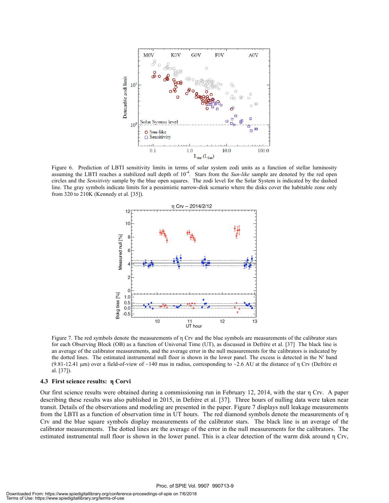

Figure 6. Prediction of LBTI sensitivity limits in terms of solar system zodi units as a function of stellar luminosity assuming the LBTI reaches a stabilized null depth of  $10^{-4}$ . Stars from the *Sun-like* sample are denoted by the red open circles and the *Sensitivity* sample by the blue open squares. The zodi level for the Solar System is indicated by the dashed line. The gray symbols indicate limits for a pessimistic narrow-disk scenario where the disks cover the habitable zone only from 320 to 210K (Kennedy et al. [35]).



Figure 7. The red symbols denote the measurements of η Crv and the blue symbols are measurements of the calibrator stars for each Observing Block (OB) as a function of Universal Time (UT), as discussed in Defrère et al. [37] The black line is an average of the calibrator measurements, and the average error in the null measurements for the calibrators is indicated by the dotted lines. The estimated instrumental null floor is shown in the lower panel. The excess is detected in the N′ band (9.81-12.41 µm) over a field-of-view of ~140 mas in radius, corresponding to ~2.6 AU at the distance of  $\eta$  Crv (Defrère et al. [37]).

#### **4.3 First science results: η Corvi**

Our first science results were obtained during a commissioning run in February 12, 2014, with the star η Crv. A paper describing these results was also published in 2015, in Defrère et al. [37]. Three hours of nulling data were taken near transit. Details of the observations and modeling are presented in the paper. Figure 7 displays null leakage measurements from the LBTI as a function of observation time in UT hours. The red diamond symbols denote the measurements of η Crv and the blue square symbols display measurements of the calibrator stars. The black line is an average of the calibrator measurements. The dotted lines are the average of the error in the null measurements for the calibrators. The estimated instrumental null floor is shown in the lower panel. This is a clear detection of the warm disk around η Crv,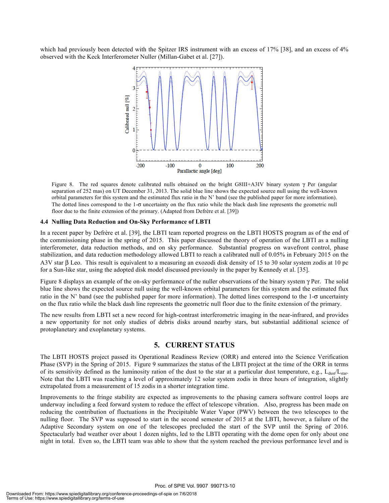which had previously been detected with the Spitzer IRS instrument with an excess of 17% [38], and an excess of 4% observed with the Keck Interferometer Nuller (Millan-Gabet et al. [27]).



Figure 8. The red squares denote calibrated nulls obtained on the bright G8III+A3IV binary system γ Per (angular separation of 252 mas) on UT December 31, 2013. The solid blue line shows the expected source null using the well-known orbital parameters for this system and the estimated flux ratio in the N' band (see the published paper for more information). The dotted lines correspond to the 1-σ uncertainty on the flux ratio while the black dash line represents the geometric null floor due to the finite extension of the primary. (Adapted from Defrère et al. [39])

#### **4.4 Nulling Data Reduction and On-Sky Performance of LBTI**

In a recent paper by Defrère et al. [39], the LBTI team reported progress on the LBTI HOSTS program as of the end of the commissioning phase in the spring of 2015. This paper discussed the theory of operation of the LBTI as a nulling interferometer, data reduction methods, and on sky performance. Substantial progress on wavefront control, phase stabilization, and data reduction methodology allowed LBTI to reach a calibrated null of 0.05% in February 2015 on the A3V star β Leo. This result is equivalent to a measuring an exozodi disk density of 15 to 30 solar system zodis at 10 pc for a Sun-like star, using the adopted disk model discussed previously in the paper by Kennedy et al. [35].

Figure 8 displays an example of the on-sky performance of the nuller observations of the binary system γ Per. The solid blue line shows the expected source null using the well-known orbital parameters for this system and the estimated flux ratio in the N' band (see the published paper for more information). The dotted lines correspond to the  $1-\sigma$  uncertainty on the flux ratio while the black dash line represents the geometric null floor due to the finite extension of the primary.

The new results from LBTI set a new record for high-contrast interferometric imaging in the near-infrared, and provides a new opportunity for not only studies of debris disks around nearby stars, but substantial additional science of protoplanetary and exoplanetary systems.

#### **5. CURRENT STATUS**

The LBTI HOSTS project passed its Operational Readiness Review (ORR) and entered into the Science Verification Phase (SVP) in the Spring of 2015. Figure 9 summarizes the status of the LBTI project at the time of the ORR in terms of its sensitivity defined as the luminosity ration of the dust to the star at a particular dust temperature, e.g.,  $L_{\text{dust}}/L_{\text{star}}$ . Note that the LBTI was reaching a level of approximately 12 solar system zodis in three hours of integration, slightly extrapolated from a measurement of 15 zodis in a shorter integration time.

Improvements to the fringe stability are expected as improvements to the phasing camera software control loops are underway including a feed forward system to reduce the effect of telescope vibration. Also, progress has been made on reducing the contribution of fluctuations in the Precipitable Water Vapor (PWV) between the two telescopes to the nulling floor. The SVP was supposed to start in the second semester of 2015 at the LBTI, however, a failure of the Adaptive Secondary system on one of the telescopes precluded the start of the SVP until the Spring of 2016. Spectacularly bad weather over about 1 dozen nights, led to the LBTI operating with the dome open for only about one night in total. Even so, the LBTI team was able to show that the system reached the previous performance level and is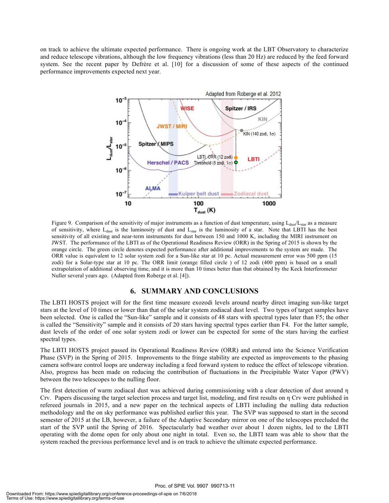on track to achieve the ultimate expected performance. There is ongoing work at the LBT Observatory to characterize and reduce telescope vibrations, although the low frequency vibrations (less than 20 Hz) are reduced by the feed forward system. See the recent paper by Defrère et al. [10] for a discussion of some of these aspects of the continued performance improvements expected next year.



Figure 9. Comparison of the sensitivity of major instruments as a function of dust temperature, using  $L_{dust}/L_{star}$  as a measure of sensitivity, where  $L_{dust}$  is the luminosity of dust and  $L_{star}$  is the luminosity of a star. Note that LBTI has the best sensitivity of all existing and near-term instruments for dust between 150 and 1000 K, including the MIRI instrument on JWST. The performance of the LBTI as of the Operational Readiness Review (ORR) in the Spring of 2015 is shown by the orange circle. The green circle denotes expected performance after additional improvements to the system are made. The ORR value is equivalent to 12 solar system zodi for a Sun-like star at 10 pc. Actual measurement error was 500 ppm (15 zodi) for a Solar-type star at 10 pc. The ORR limit (orange filled circle ) of 12 zodi (400 ppm) is based on a small extrapolation of additional observing time, and it is more than 10 times better than that obtained by the Keck Interferometer Nuller several years ago. (Adapted from Roberge et al. [4]).

#### **6. SUMMARY AND CONCLUSIONS**

The LBTI HOSTS project will for the first time measure exozodi levels around nearby direct imaging sun-like target stars at the level of 10 times or lower than that of the solar system zodiacal dust level. Two types of target samples have been selected. One is called the "Sun-like" sample and it consists of 48 stars with spectral types later than F5; the other is called the "Sensitivity" sample and it consists of 20 stars having spectral types earlier than F4. For the latter sample, dust levels of the order of one solar system zodi or lower can be expected for some of the stars having the earliest spectral types.

The LBTI HOSTS project passed its Operational Readiness Review (ORR) and entered into the Science Verification Phase (SVP) in the Spring of 2015. Improvements to the fringe stability are expected as improvements to the phasing camera software control loops are underway including a feed forward system to reduce the effect of telescope vibration. Also, progress has been made on reducing the contribution of fluctuations in the Precipitable Water Vapor (PWV) between the two telescopes to the nulling floor.

The first detection of warm zodiacal dust was achieved during commissioning with a clear detection of dust around η Crv. Papers discussing the target selection process and target list, modeling, and first results on η Crv were published in refereed journals in 2015, and a new paper on the technical aspects of LBTI including the nulling data reduction methodology and the on sky performance was published earlier this year. The SVP was supposed to start in the second semester of 2015 at the LB, however, a failure of the Adaptive Secondary mirror on one of the telescopes precluded the start of the SVP until the Spring of 2016. Spectacularly bad weather over about 1 dozen nights, led to the LBTI operating with the dome open for only about one night in total. Even so, the LBTI team was able to show that the system reached the previous performance level and is on track to achieve the ultimate expected performance.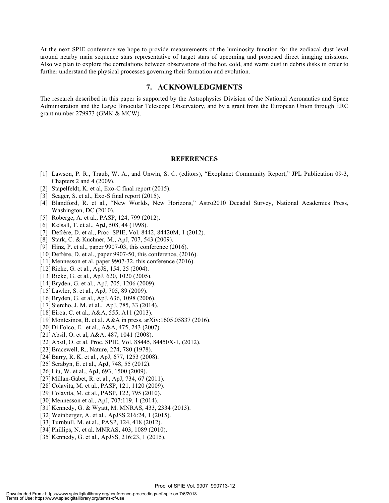At the next SPIE conference we hope to provide measurements of the luminosity function for the zodiacal dust level around nearby main sequence stars representative of target stars of upcoming and proposed direct imaging missions. Also we plan to explore the correlations between observations of the hot, cold, and warm dust in debris disks in order to further understand the physical processes governing their formation and evolution.

#### **7. ACKNOWLEDGMENTS**

The research described in this paper is supported by the Astrophysics Division of the National Aeronautics and Space Administration and the Large Binocular Telescope Observatory, and by a grant from the European Union through ERC grant number 279973 (GMK & MCW).

#### **REFERENCES**

- [1] Lawson, P. R., Traub, W. A., and Unwin, S. C. (editors), "Exoplanet Community Report," JPL Publication 09-3, Chapters 2 and 4 (2009).
- [2] Stapelfeldt, K. et al, Exo-C final report (2015).
- [3] Seager, S. et al., Exo-S final report (2015).
- [4] Blandford, R. et al., "New Worlds, New Horizons," Astro2010 Decadal Survey, National Academies Press, Washington, DC (2010).
- [5] Roberge, A. et al., PASP, 124, 799 (2012).
- [6] Kelsall, T. et al., ApJ, 508, 44 (1998).
- [7] Defrère, D. et al., Proc. SPIE, Vol. 8442, 84420M, 1 (2012).
- [8] Stark, C. & Kuchner, M., ApJ, 707, 543 (2009).
- [9] Hinz, P. et al., paper 9907-03, this conference (2016).
- [10] Defrère, D. et al., paper 9907-50, this conference, (2016).
- [11] Mennesson et al. paper 9907-32, this conference (2016).
- [12] Rieke, G. et al., ApJS, 154, 25 (2004).
- [13] Rieke, G. et al., ApJ, 620, 1020 (2005).
- [14] Bryden, G. et al., ApJ, 705, 1206 (2009).
- [15] Lawler, S. et al., ApJ, 705, 89 (2009).
- [16] Bryden, G. et al., ApJ, 636, 1098 (2006).
- [17] Siercho, J. M. et al., ApJ, 785, 33 (2014).
- [18]Eiroa, C. et al., A&A, 555, A11 (2013).
- [19]Montesinos, B. et al. A&A in press, arXiv:1605.05837 (2016).
- [20] Di Folco, E. et al., A&A, 475, 243 (2007).
- [21] Absil, O. et al, A&A, 487, 1041 (2008).
- [22]Absil, O. et al. Proc. SPIE, Vol. 88445, 84450X-1, (2012).
- [23] Bracewell, R., Nature, 274, 780 (1978).
- [24] Barry, R. K. et al., ApJ, 677, 1253 (2008).
- [25] Serabyn, E. et al., ApJ, 748, 55 (2012).
- [26]Liu, W. et al., ApJ, 693, 1500 (2009).
- [27]Millan-Gabet, R. et al., ApJ, 734, 67 (2011).
- [28]Colavita, M. et al., PASP, 121, 1120 (2009).
- [29] Colavita, M. et al., PASP, 122, 795 (2010).
- [30] Mennesson et al., ApJ, 707:119, 1 (2014).
- [31]Kennedy, G. & Wyatt, M. MNRAS, 433, 2334 (2013).
- [32] Weinberger, A. et al., ApJSS 216:24, 1 (2015).
- [33] Turnbull, M. et al., PASP, 124, 418 (2012).
- [34] Phillips, N. et al. MNRAS, 403, 1089 (2010).
- [35] Kennedy, G. et al., ApJSS, 216:23, 1 (2015).